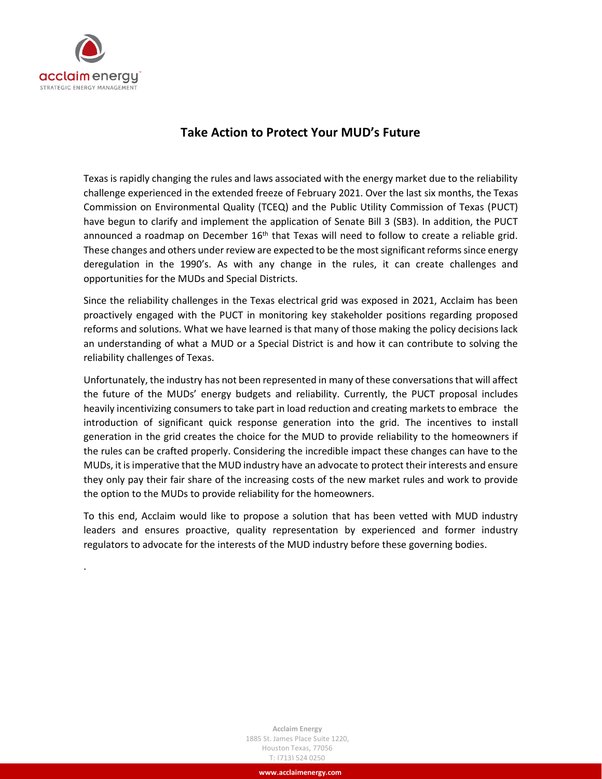

.

# **Take Action to Protect Your MUD's Future**

Texas is rapidly changing the rules and laws associated with the energy market due to the reliability challenge experienced in the extended freeze of February 2021. Over the last six months, the Texas Commission on Environmental Quality (TCEQ) and the Public Utility Commission of Texas (PUCT) have begun to clarify and implement the application of Senate Bill 3 (SB3). In addition, the PUCT announced a roadmap on December  $16<sup>th</sup>$  that Texas will need to follow to create a reliable grid. These changes and others under review are expected to be the most significant reforms since energy deregulation in the 1990's. As with any change in the rules, it can create challenges and opportunities for the MUDs and Special Districts.

Since the reliability challenges in the Texas electrical grid was exposed in 2021, Acclaim has been proactively engaged with the PUCT in monitoring key stakeholder positions regarding proposed reforms and solutions. What we have learned is that many of those making the policy decisions lack an understanding of what a MUD or a Special District is and how it can contribute to solving the reliability challenges of Texas.

Unfortunately, the industry has not been represented in many of these conversations that will affect the future of the MUDs' energy budgets and reliability. Currently, the PUCT proposal includes heavily incentivizing consumers to take part in load reduction and creating markets to embrace the introduction of significant quick response generation into the grid. The incentives to install generation in the grid creates the choice for the MUD to provide reliability to the homeowners if the rules can be crafted properly. Considering the incredible impact these changes can have to the MUDs, it isimperative that the MUD industry have an advocate to protect their interests and ensure they only pay their fair share of the increasing costs of the new market rules and work to provide the option to the MUDs to provide reliability for the homeowners.

To this end, Acclaim would like to propose a solution that has been vetted with MUD industry leaders and ensures proactive, quality representation by experienced and former industry regulators to advocate for the interests of the MUD industry before these governing bodies.

> **Acclaim Energy** 1885 St. James Place Suite 1220, Houston Texas, 77056 T: (713) 524 0250

> > **www.acclaimenergy.com**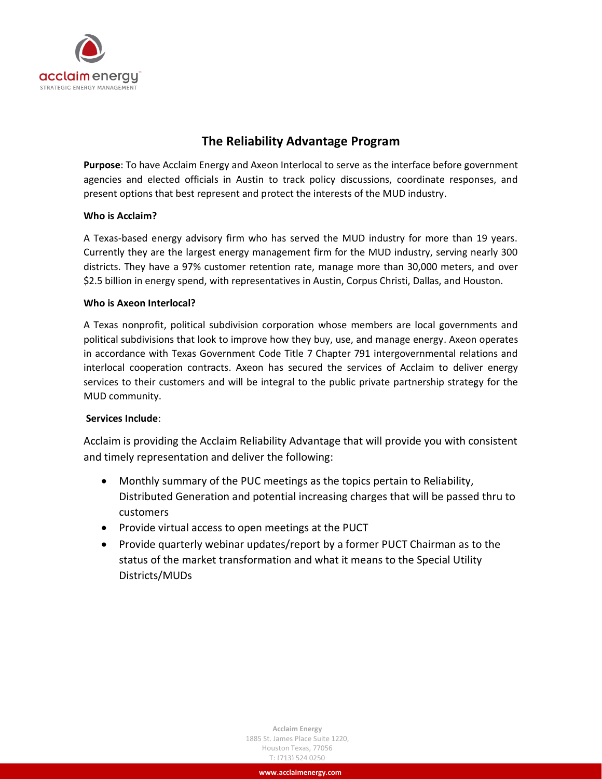

# **The Reliability Advantage Program**

**Purpose**: To have Acclaim Energy and Axeon Interlocal to serve as the interface before government agencies and elected officials in Austin to track policy discussions, coordinate responses, and present options that best represent and protect the interests of the MUD industry.

#### **Who is Acclaim?**

A Texas-based energy advisory firm who has served the MUD industry for more than 19 years. Currently they are the largest energy management firm for the MUD industry, serving nearly 300 districts. They have a 97% customer retention rate, manage more than 30,000 meters, and over \$2.5 billion in energy spend, with representatives in Austin, Corpus Christi, Dallas, and Houston.

#### **Who is Axeon Interlocal?**

A Texas nonprofit, political subdivision corporation whose members are local governments and political subdivisions that look to improve how they buy, use, and manage energy. Axeon operates in accordance with Texas Government Code Title 7 Chapter 791 intergovernmental relations and interlocal cooperation contracts. Axeon has secured the services of Acclaim to deliver energy services to their customers and will be integral to the public private partnership strategy for the MUD community.

#### **Services Include**:

Acclaim is providing the Acclaim Reliability Advantage that will provide you with consistent and timely representation and deliver the following:

- Monthly summary of the PUC meetings as the topics pertain to Reliability, Distributed Generation and potential increasing charges that will be passed thru to customers
- Provide virtual access to open meetings at the PUCT
- Provide quarterly webinar updates/report by a former PUCT Chairman as to the status of the market transformation and what it means to the Special Utility Districts/MUDs

**Acclaim Energy** 1885 St. James Place Suite 1220, Houston Texas, 77056 T: (713) 524 0250

**www.acclaimenergy.com**